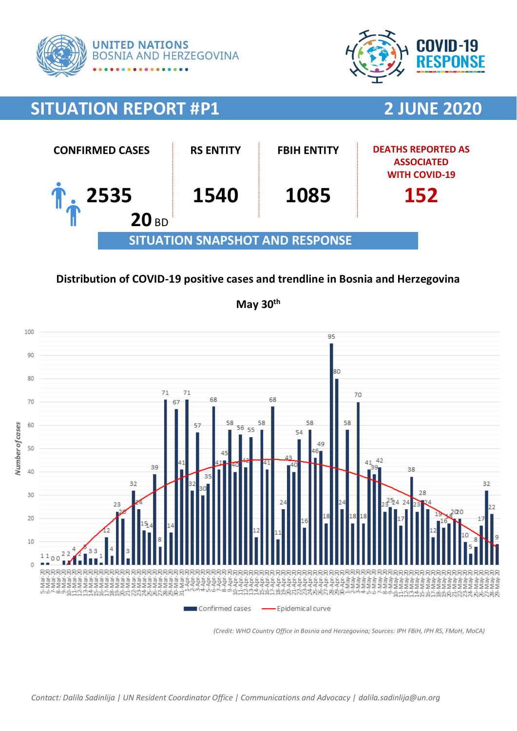



# **SITUATION REPORT #P1 2 JUNE 2020**



### **Distribution of COVID-19 positive cases and trendline in Bosnia and Herzegovina**



**May 30th**

*(Credit: WHO Country Office in Bosnia and Herzegovina; Sources: IPH FBiH, IPH RS, FMoH, MoCA)*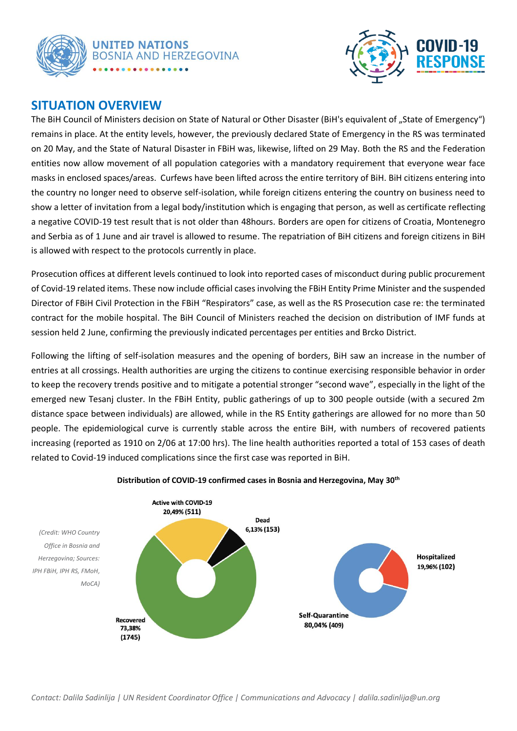



### **SITUATION OVERVIEW**

The BiH Council of Ministers decision on State of Natural or Other Disaster (BiH's equivalent of ..State of Emergency") remains in place. At the entity levels, however, the previously declared State of Emergency in the RS was terminated on 20 May, and the State of Natural Disaster in FBiH was, likewise, lifted on 29 May. Both the RS and the Federation entities now allow movement of all population categories with a mandatory requirement that everyone wear face masks in enclosed spaces/areas. Curfews have been lifted across the entire territory of BiH. BiH citizens entering into the country no longer need to observe self-isolation, while foreign citizens entering the country on business need to show a letter of invitation from a legal body/institution which is engaging that person, as well as certificate reflecting a negative COVID-19 test result that is not older than 48hours. Borders are open for citizens of Croatia, Montenegro and Serbia as of 1 June and air travel is allowed to resume. The repatriation of BiH citizens and foreign citizens in BiH is allowed with respect to the protocols currently in place.

Prosecution offices at different levels continued to look into reported cases of misconduct during public procurement of Covid-19 related items. These now include official cases involving the FBiH Entity Prime Minister and the suspended Director of FBiH Civil Protection in the FBiH "Respirators" case, as well as the RS Prosecution case re: the terminated contract for the mobile hospital. The BiH Council of Ministers reached the decision on distribution of IMF funds at session held 2 June, confirming the previously indicated percentages per entities and Brcko District.

Following the lifting of self-isolation measures and the opening of borders, BiH saw an increase in the number of entries at all crossings. Health authorities are urging the citizens to continue exercising responsible behavior in order to keep the recovery trends positive and to mitigate a potential stronger "second wave", especially in the light of the emerged new Tesanj cluster. In the FBiH Entity, public gatherings of up to 300 people outside (with a secured 2m distance space between individuals) are allowed, while in the RS Entity gatherings are allowed for no more than 50 people. The epidemiological curve is currently stable across the entire BiH, with numbers of recovered patients increasing (reported as 1910 on 2/06 at 17:00 hrs). The line health authorities reported a total of 153 cases of death related to Covid-19 induced complications since the first case was reported in BiH.



#### **Distribution of COVID-19 confirmed cases in Bosnia and Herzegovina, May 30th**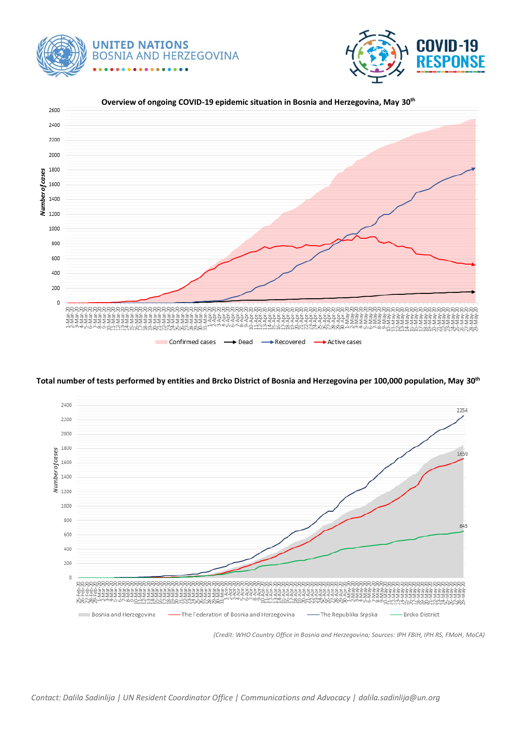





**Total number of tests performed by entities and Brcko District of Bosnia and Herzegovina per 100,000 population, May 30th**



*(Credit: WHO Country Office in Bosnia and Herzegovina; Sources: IPH FBiH, IPH RS, FMoH, MoCA)*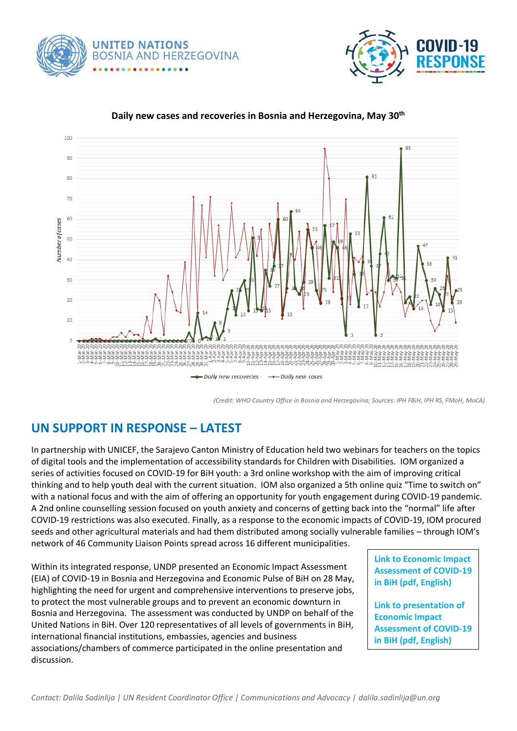





#### **Daily new cases and recoveries in Bosnia and Herzegovina, May 30th**

*(Credit: WHO Country Office in Bosnia and Herzegovina; Sources: IPH FBiH, IPH RS, FMoH, MoCA)*

# **UN SUPPORT IN RESPONSE – LATEST**

In partnership with UNICEF, the Sarajevo Canton Ministry of Education held two webinars for teachers on the topics of digital tools and the implementation of accessibility standards for Children with Disabilities. IOM organized a series of activities focused on COVID-19 for BiH youth: a 3rd online workshop with the aim of improving critical thinking and to help youth deal with the current situation. IOM also organized a 5th online quiz "Time to switch on" with a national focus and with the aim of offering an opportunity for youth engagement during COVID-19 pandemic. A 2nd online counselling session focused on youth anxiety and concerns of getting back into the "normal" life after COVID-19 restrictions was also executed. Finally, as a response to the economic impacts of COVID-19, IOM procured seeds and other agricultural materials and had them distributed among socially vulnerable families – through IOM's network of 46 Community Liaison Points spread across 16 different municipalities.

Within its integrated response, UNDP presented an Economic Impact Assessment (EIA) of COVID-19 in Bosnia and Herzegovina and Economic Pulse of BiH on 28 May, highlighting the need for urgent and comprehensive interventions to preserve jobs, to protect the most vulnerable groups and to prevent an economic downturn in Bosnia and Herzegovina. The assessment was conducted by UNDP on behalf of the United Nations in BiH. Over 120 representatives of all levels of governments in BiH, international financial institutions, embassies, agencies and business associations/chambers of commerce participated in the online presentation and discussion.

**[Link to Economic Impact](https://bosniaherzegovina.un.org/en/47601-economic-impact-assessment-covid-19-bih)  [Assessment of COVID-19](https://bosniaherzegovina.un.org/en/47601-economic-impact-assessment-covid-19-bih)  [in BiH \(pdf, English\)](https://bosniaherzegovina.un.org/en/47601-economic-impact-assessment-covid-19-bih)** 

**[Link to presentation of](https://eur03.safelinks.protection.outlook.com/?url=https%3A%2F%2Fbit.ly%2FEIACOVID_UNDPBiH_Presentation&data=02%7C01%7Cdalila.sadinlija%40one.un.org%7C2db27334971447bb0caa08d806ec456e%7Cb3e5db5e2944483799f57488ace54319%7C0%7C0%7C637266959136056713&sdata=XM2vhwJKCsjiuHj3ZgDGfBD6kE8GouDDxMzG3QJc7Y8%3D&reserved=0)  [Economic Impact](https://eur03.safelinks.protection.outlook.com/?url=https%3A%2F%2Fbit.ly%2FEIACOVID_UNDPBiH_Presentation&data=02%7C01%7Cdalila.sadinlija%40one.un.org%7C2db27334971447bb0caa08d806ec456e%7Cb3e5db5e2944483799f57488ace54319%7C0%7C0%7C637266959136056713&sdata=XM2vhwJKCsjiuHj3ZgDGfBD6kE8GouDDxMzG3QJc7Y8%3D&reserved=0)  [Assessment of COVID-19](https://eur03.safelinks.protection.outlook.com/?url=https%3A%2F%2Fbit.ly%2FEIACOVID_UNDPBiH_Presentation&data=02%7C01%7Cdalila.sadinlija%40one.un.org%7C2db27334971447bb0caa08d806ec456e%7Cb3e5db5e2944483799f57488ace54319%7C0%7C0%7C637266959136056713&sdata=XM2vhwJKCsjiuHj3ZgDGfBD6kE8GouDDxMzG3QJc7Y8%3D&reserved=0)  [in BiH \(pdf, English\)](https://eur03.safelinks.protection.outlook.com/?url=https%3A%2F%2Fbit.ly%2FEIACOVID_UNDPBiH_Presentation&data=02%7C01%7Cdalila.sadinlija%40one.un.org%7C2db27334971447bb0caa08d806ec456e%7Cb3e5db5e2944483799f57488ace54319%7C0%7C0%7C637266959136056713&sdata=XM2vhwJKCsjiuHj3ZgDGfBD6kE8GouDDxMzG3QJc7Y8%3D&reserved=0)**